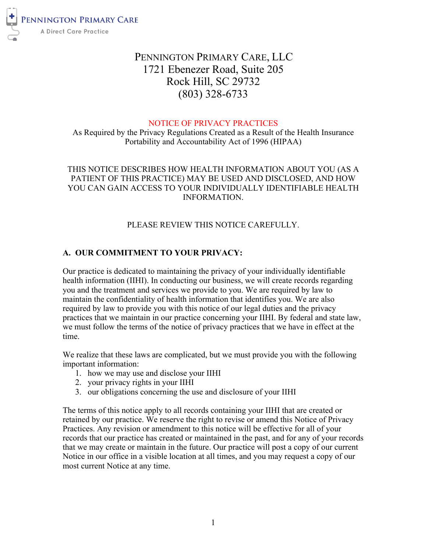

# PENNINGTON PRIMARY CARE, LLC 1721 Ebenezer Road, Suite 205 Rock Hill, SC 29732 (803) 328-6733

#### NOTICE OF PRIVACY PRACTICES

As Required by the Privacy Regulations Created as a Result of the Health Insurance Portability and Accountability Act of 1996 (HIPAA)

# THIS NOTICE DESCRIBES HOW HEALTH INFORMATION ABOUT YOU (AS A PATIENT OF THIS PRACTICE) MAY BE USED AND DISCLOSED, AND HOW YOU CAN GAIN ACCESS TO YOUR INDIVIDUALLY IDENTIFIABLE HEALTH INFORMATION.

# PLEASE REVIEW THIS NOTICE CAREFULLY.

# **A. OUR COMMITMENT TO YOUR PRIVACY:**

Our practice is dedicated to maintaining the privacy of your individually identifiable health information (IIHI). In conducting our business, we will create records regarding you and the treatment and services we provide to you. We are required by law to maintain the confidentiality of health information that identifies you. We are also required by law to provide you with this notice of our legal duties and the privacy practices that we maintain in our practice concerning your IIHI. By federal and state law, we must follow the terms of the notice of privacy practices that we have in effect at the time.

We realize that these laws are complicated, but we must provide you with the following important information:

- 1. how we may use and disclose your IIHI
- 2. your privacy rights in your IIHI
- 3. our obligations concerning the use and disclosure of your IIHI

The terms of this notice apply to all records containing your IIHI that are created or retained by our practice. We reserve the right to revise or amend this Notice of Privacy Practices. Any revision or amendment to this notice will be effective for all of your records that our practice has created or maintained in the past, and for any of your records that we may create or maintain in the future. Our practice will post a copy of our current Notice in our office in a visible location at all times, and you may request a copy of our most current Notice at any time.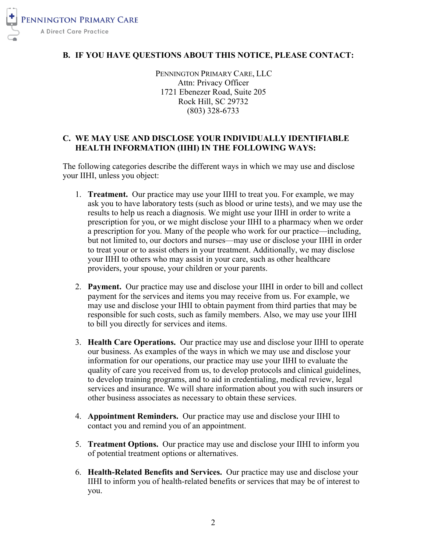

#### **B. IF YOU HAVE QUESTIONS ABOUT THIS NOTICE, PLEASE CONTACT:**

PENNINGTON PRIMARY CARE, LLC Attn: Privacy Officer 1721 Ebenezer Road, Suite 205 Rock Hill, SC 29732 (803) 328-6733

#### **C. WE MAY USE AND DISCLOSE YOUR INDIVIDUALLY IDENTIFIABLE HEALTH INFORMATION (IIHI) IN THE FOLLOWING WAYS:**

The following categories describe the different ways in which we may use and disclose your IIHI, unless you object:

- 1. **Treatment.** Our practice may use your IIHI to treat you. For example, we may ask you to have laboratory tests (such as blood or urine tests), and we may use the results to help us reach a diagnosis. We might use your IIHI in order to write a prescription for you, or we might disclose your IIHI to a pharmacy when we order a prescription for you. Many of the people who work for our practice—including, but not limited to, our doctors and nurses—may use or disclose your IIHI in order to treat your or to assist others in your treatment. Additionally, we may disclose your IIHI to others who may assist in your care, such as other healthcare providers, your spouse, your children or your parents.
- 2. **Payment.** Our practice may use and disclose your IIHI in order to bill and collect payment for the services and items you may receive from us. For example, we may use and disclose your IHII to obtain payment from third parties that may be responsible for such costs, such as family members. Also, we may use your IIHI to bill you directly for services and items.
- 3. **Health Care Operations.** Our practice may use and disclose your IIHI to operate our business. As examples of the ways in which we may use and disclose your information for our operations, our practice may use your IIHI to evaluate the quality of care you received from us, to develop protocols and clinical guidelines, to develop training programs, and to aid in credentialing, medical review, legal services and insurance. We will share information about you with such insurers or other business associates as necessary to obtain these services.
- 4. **Appointment Reminders.** Our practice may use and disclose your IIHI to contact you and remind you of an appointment.
- 5. **Treatment Options.** Our practice may use and disclose your IIHI to inform you of potential treatment options or alternatives.
- 6. **Health-Related Benefits and Services.** Our practice may use and disclose your IIHI to inform you of health-related benefits or services that may be of interest to you.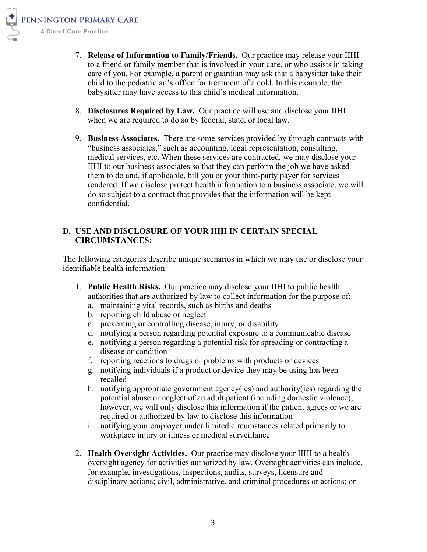- 7. **Release of Information to Family/Friends.** Our practice may release your IIHI to a friend or family member that is involved in your care, or who assists in taking care of you. For example, a parent or guardian may ask that a babysitter take their child to the pediatrician's office for treatment of a cold. In this example, the babysitter may have access to this child's medical information.
- 8. **Disclosures Required by Law.** Our practice will use and disclose your IIHI when we are required to do so by federal, state, or local law.
- 9. **Business Associates.** There are some services provided by through contracts with "business associates," such as accounting, legal representation, consulting, medical services, etc. When these services are contracted, we may disclose your IIHI to our business associates so that they can perform the job we have asked them to do and, if applicable, bill you or your third-party payer for services rendered. If we disclose protect health information to a business associate, we will do so subject to a contract that provides that the information will be kept confidential.

# **D. USE AND DISCLOSURE OF YOUR IIHI IN CERTAIN SPECIAL CIRCUMSTANCES:**

The following categories describe unique scenarios in which we may use or disclose your identifiable health information:

- 1. **Public Health Risks.** Our practice may disclose your IIHI to public health authorities that are authorized by law to collect information for the purpose of:
	- a. maintaining vital records, such as births and deaths
	- b. reporting child abuse or neglect
	- c. preventing or controlling disease, injury, or disability
	- d. notifying a person regarding potential exposure to a communicable disease
	- e. notifying a person regarding a potential risk for spreading or contracting a disease or condition
	- f. reporting reactions to drugs or problems with products or devices
	- g. notifying individuals if a product or device they may be using has been recalled
	- h. notifying appropriate government agency(ies) and authority(ies) regarding the potential abuse or neglect of an adult patient (including domestic violence); however, we will only disclose this information if the patient agrees or we are required or authorized by law to disclose this information
	- i. notifying your employer under limited circumstances related primarily to workplace injury or illness or medical surveillance
- 2. **Health Oversight Activities.** Our practice may disclose your IIHI to a health oversight agency for activities authorized by law. Oversight activities can include, for example, investigations, inspections, audits, surveys, licensure and disciplinary actions; civil, administrative, and criminal procedures or actions; or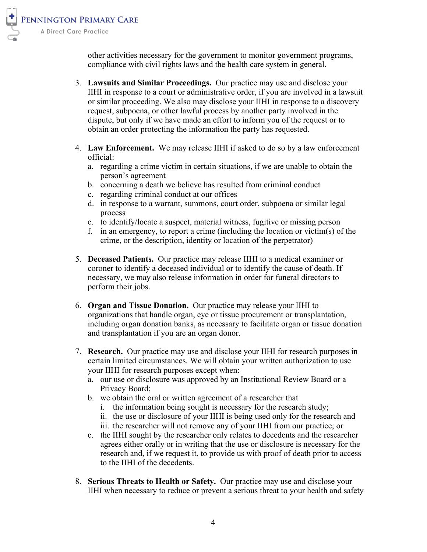

other activities necessary for the government to monitor government programs, compliance with civil rights laws and the health care system in general.

- 3. **Lawsuits and Similar Proceedings.** Our practice may use and disclose your IIHI in response to a court or administrative order, if you are involved in a lawsuit or similar proceeding. We also may disclose your IIHI in response to a discovery request, subpoena, or other lawful process by another party involved in the dispute, but only if we have made an effort to inform you of the request or to obtain an order protecting the information the party has requested.
- 4. **Law Enforcement.** We may release IIHI if asked to do so by a law enforcement official:
	- a. regarding a crime victim in certain situations, if we are unable to obtain the person's agreement
	- b. concerning a death we believe has resulted from criminal conduct
	- c. regarding criminal conduct at our offices
	- d. in response to a warrant, summons, court order, subpoena or similar legal process
	- e. to identify/locate a suspect, material witness, fugitive or missing person
	- f. in an emergency, to report a crime (including the location or victim(s) of the crime, or the description, identity or location of the perpetrator)
- 5. **Deceased Patients.** Our practice may release IIHI to a medical examiner or coroner to identify a deceased individual or to identify the cause of death. If necessary, we may also release information in order for funeral directors to perform their jobs.
- 6. **Organ and Tissue Donation.** Our practice may release your IIHI to organizations that handle organ, eye or tissue procurement or transplantation, including organ donation banks, as necessary to facilitate organ or tissue donation and transplantation if you are an organ donor.
- 7. **Research.** Our practice may use and disclose your IIHI for research purposes in certain limited circumstances. We will obtain your written authorization to use your IIHI for research purposes except when:
	- a. our use or disclosure was approved by an Institutional Review Board or a Privacy Board;
	- b. we obtain the oral or written agreement of a researcher that
		- i. the information being sought is necessary for the research study;
		- ii. the use or disclosure of your IIHI is being used only for the research and iii. the researcher will not remove any of your IIHI from our practice; or
	- c. the IIHI sought by the researcher only relates to decedents and the researcher agrees either orally or in writing that the use or disclosure is necessary for the research and, if we request it, to provide us with proof of death prior to access to the IIHI of the decedents.
- 8. **Serious Threats to Health or Safety.** Our practice may use and disclose your IIHI when necessary to reduce or prevent a serious threat to your health and safety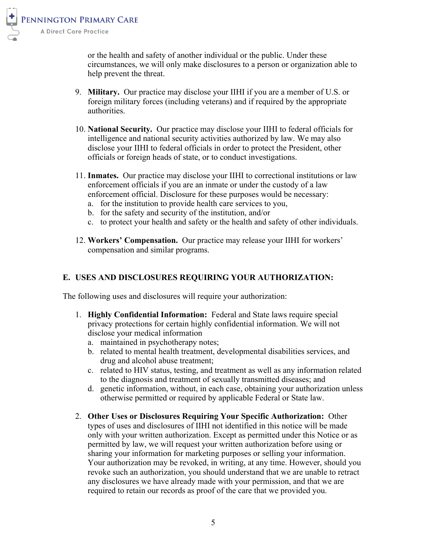

or the health and safety of another individual or the public. Under these circumstances, we will only make disclosures to a person or organization able to help prevent the threat.

- 9. **Military.** Our practice may disclose your IIHI if you are a member of U.S. or foreign military forces (including veterans) and if required by the appropriate authorities.
- 10. **National Security.** Our practice may disclose your IIHI to federal officials for intelligence and national security activities authorized by law. We may also disclose your IIHI to federal officials in order to protect the President, other officials or foreign heads of state, or to conduct investigations.
- 11. **Inmates.** Our practice may disclose your IIHI to correctional institutions or law enforcement officials if you are an inmate or under the custody of a law enforcement official. Disclosure for these purposes would be necessary:
	- a. for the institution to provide health care services to you,
	- b. for the safety and security of the institution, and/or
	- c. to protect your health and safety or the health and safety of other individuals.
- 12. **Workers' Compensation.** Our practice may release your IIHI for workers' compensation and similar programs.

#### **E. USES AND DISCLOSURES REQUIRING YOUR AUTHORIZATION:**

The following uses and disclosures will require your authorization:

- 1. **Highly Confidential Information:** Federal and State laws require special privacy protections for certain highly confidential information. We will not disclose your medical information
	- a. maintained in psychotherapy notes;
	- b. related to mental health treatment, developmental disabilities services, and drug and alcohol abuse treatment;
	- c. related to HIV status, testing, and treatment as well as any information related to the diagnosis and treatment of sexually transmitted diseases; and
	- d. genetic information, without, in each case, obtaining your authorization unless otherwise permitted or required by applicable Federal or State law.
- 2. **Other Uses or Disclosures Requiring Your Specific Authorization:** Other types of uses and disclosures of IIHI not identified in this notice will be made only with your written authorization. Except as permitted under this Notice or as permitted by law, we will request your written authorization before using or sharing your information for marketing purposes or selling your information. Your authorization may be revoked, in writing, at any time. However, should you revoke such an authorization, you should understand that we are unable to retract any disclosures we have already made with your permission, and that we are required to retain our records as proof of the care that we provided you.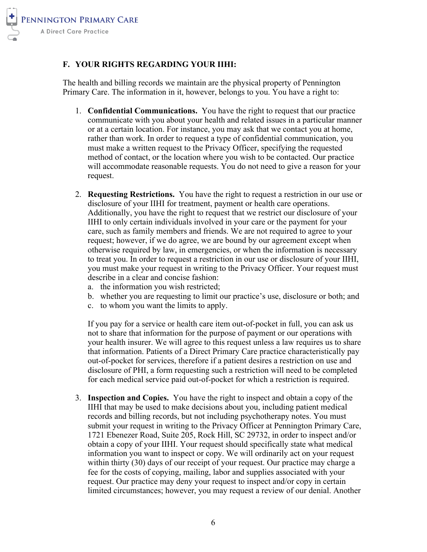

# **F. YOUR RIGHTS REGARDING YOUR IIHI:**

The health and billing records we maintain are the physical property of Pennington Primary Care. The information in it, however, belongs to you. You have a right to:

- 1. **Confidential Communications.** You have the right to request that our practice communicate with you about your health and related issues in a particular manner or at a certain location. For instance, you may ask that we contact you at home, rather than work. In order to request a type of confidential communication, you must make a written request to the Privacy Officer, specifying the requested method of contact, or the location where you wish to be contacted. Our practice will accommodate reasonable requests. You do not need to give a reason for your request.
- 2. **Requesting Restrictions.** You have the right to request a restriction in our use or disclosure of your IIHI for treatment, payment or health care operations. Additionally, you have the right to request that we restrict our disclosure of your IIHI to only certain individuals involved in your care or the payment for your care, such as family members and friends. We are not required to agree to your request; however, if we do agree, we are bound by our agreement except when otherwise required by law, in emergencies, or when the information is necessary to treat you. In order to request a restriction in our use or disclosure of your IIHI, you must make your request in writing to the Privacy Officer. Your request must describe in a clear and concise fashion:
	- a. the information you wish restricted;
	- b. whether you are requesting to limit our practice's use, disclosure or both; and
	- c. to whom you want the limits to apply.

If you pay for a service or health care item out-of-pocket in full, you can ask us not to share that information for the purpose of payment or our operations with your health insurer. We will agree to this request unless a law requires us to share that information. Patients of a Direct Primary Care practice characteristically pay out-of-pocket for services, therefore if a patient desires a restriction on use and disclosure of PHI, a form requesting such a restriction will need to be completed for each medical service paid out-of-pocket for which a restriction is required.

3. **Inspection and Copies.** You have the right to inspect and obtain a copy of the IIHI that may be used to make decisions about you, including patient medical records and billing records, but not including psychotherapy notes. You must submit your request in writing to the Privacy Officer at Pennington Primary Care, 1721 Ebenezer Road, Suite 205, Rock Hill, SC 29732, in order to inspect and/or obtain a copy of your IIHI. Your request should specifically state what medical information you want to inspect or copy. We will ordinarily act on your request within thirty (30) days of our receipt of your request. Our practice may charge a fee for the costs of copying, mailing, labor and supplies associated with your request. Our practice may deny your request to inspect and/or copy in certain limited circumstances; however, you may request a review of our denial. Another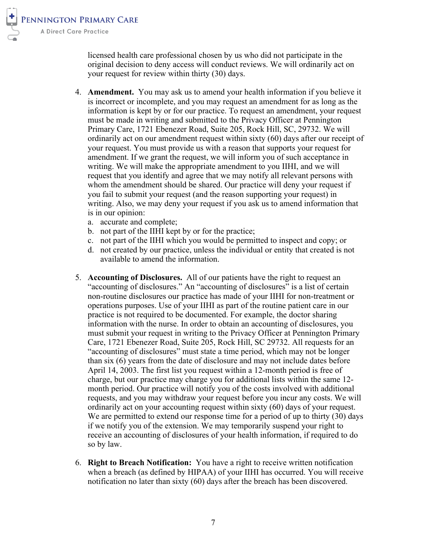licensed health care professional chosen by us who did not participate in the original decision to deny access will conduct reviews. We will ordinarily act on your request for review within thirty (30) days.

- 4. **Amendment.** You may ask us to amend your health information if you believe it is incorrect or incomplete, and you may request an amendment for as long as the information is kept by or for our practice. To request an amendment, your request must be made in writing and submitted to the Privacy Officer at Pennington Primary Care, 1721 Ebenezer Road, Suite 205, Rock Hill, SC, 29732. We will ordinarily act on our amendment request within sixty (60) days after our receipt of your request. You must provide us with a reason that supports your request for amendment. If we grant the request, we will inform you of such acceptance in writing. We will make the appropriate amendment to you IIHI, and we will request that you identify and agree that we may notify all relevant persons with whom the amendment should be shared. Our practice will deny your request if you fail to submit your request (and the reason supporting your request) in writing. Also, we may deny your request if you ask us to amend information that is in our opinion:
	- a. accurate and complete;
	- b. not part of the IIHI kept by or for the practice;
	- c. not part of the IIHI which you would be permitted to inspect and copy; or
	- d. not created by our practice, unless the individual or entity that created is not available to amend the information.
- 5. **Accounting of Disclosures.** All of our patients have the right to request an "accounting of disclosures." An "accounting of disclosures" is a list of certain non-routine disclosures our practice has made of your IIHI for non-treatment or operations purposes. Use of your IIHI as part of the routine patient care in our practice is not required to be documented. For example, the doctor sharing information with the nurse. In order to obtain an accounting of disclosures, you must submit your request in writing to the Privacy Officer at Pennington Primary Care, 1721 Ebenezer Road, Suite 205, Rock Hill, SC 29732. All requests for an "accounting of disclosures" must state a time period, which may not be longer than six (6) years from the date of disclosure and may not include dates before April 14, 2003. The first list you request within a 12-month period is free of charge, but our practice may charge you for additional lists within the same 12 month period. Our practice will notify you of the costs involved with additional requests, and you may withdraw your request before you incur any costs. We will ordinarily act on your accounting request within sixty (60) days of your request. We are permitted to extend our response time for a period of up to thirty (30) days if we notify you of the extension. We may temporarily suspend your right to receive an accounting of disclosures of your health information, if required to do so by law.
- 6. **Right to Breach Notification:** You have a right to receive written notification when a breach (as defined by HIPAA) of your IIHI has occurred. You will receive notification no later than sixty (60) days after the breach has been discovered.